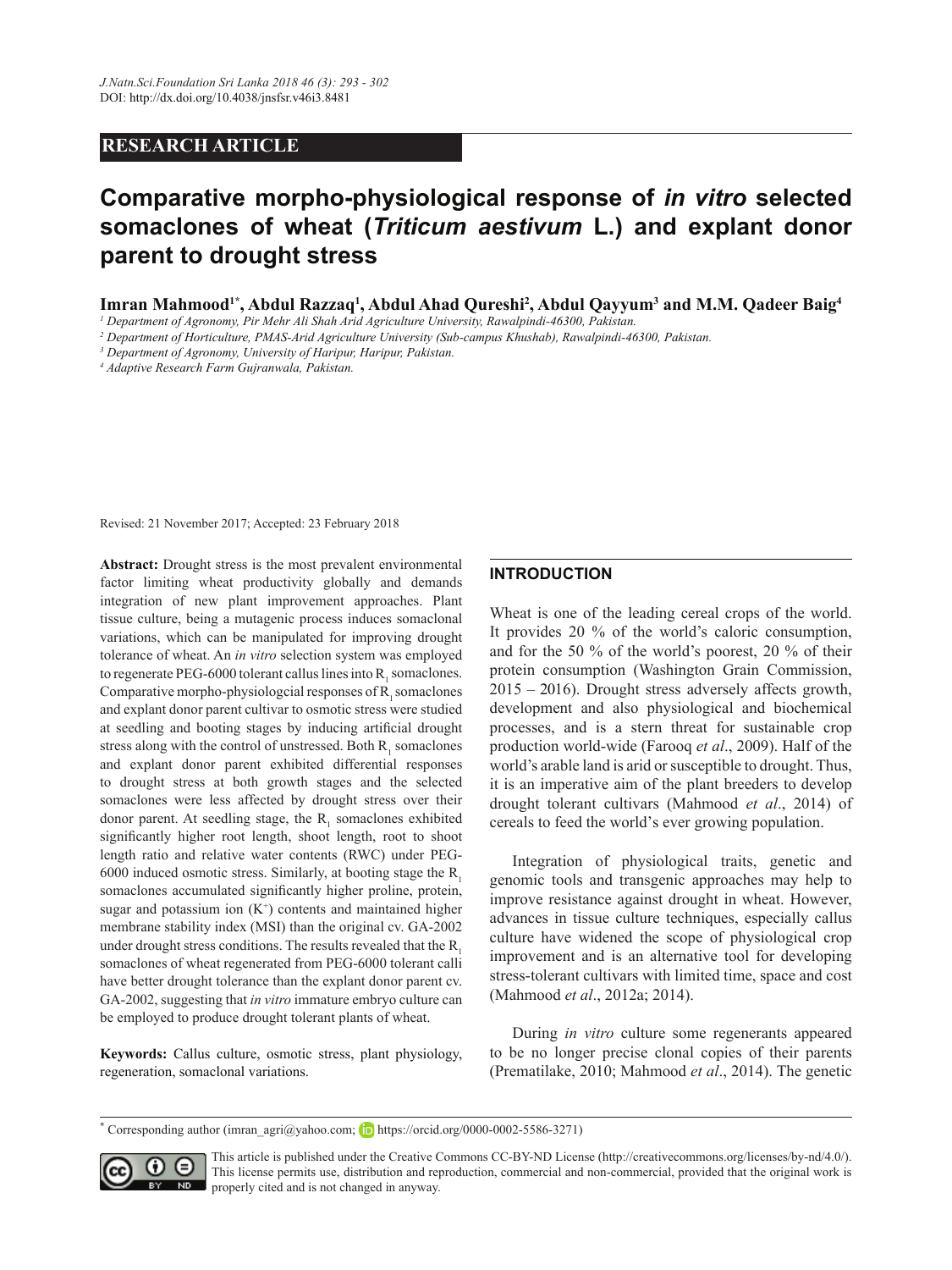### **RESEARCH ARTICLE**

# **Comparative morpho-physiological response of** *in vitro* **selected somaclones of wheat (***Triticum aestivum* **L.) and explant donor parent to drought stress**

**Imran Mahmood1\*, Abdul Razzaq1 , Abdul Ahad Qureshi2 , Abdul Qayyum3 and M.M. Qadeer Baig4**

*1 Department of Agronomy, Pir Mehr Ali Shah Arid Agriculture University, Rawalpindi-46300, Pakistan.*

*2 Department of Horticulture, PMAS-Arid Agriculture University (Sub-campus Khushab), Rawalpindi-46300, Pakistan.*

*3 Department of Agronomy, University of Haripur, Haripur, Pakistan.*

*4 Adaptive Research Farm Gujranwala, Pakistan.*

Revised: 21 November 2017; Accepted: 23 February 2018

**Abstract:** Drought stress is the most prevalent environmental factor limiting wheat productivity globally and demands integration of new plant improvement approaches. Plant tissue culture, being a mutagenic process induces somaclonal variations, which can be manipulated for improving drought tolerance of wheat. An *in vitro* selection system was employed to regenerate PEG-6000 tolerant callus lines into  $R_1$  somaclones. Comparative morpho-physiologcial responses of  $R_1$  somaclones and explant donor parent cultivar to osmotic stress were studied at seedling and booting stages by inducing artificial drought stress along with the control of unstressed. Both  $R_1$  somaclones and explant donor parent exhibited differential responses to drought stress at both growth stages and the selected somaclones were less affected by drought stress over their donor parent. At seedling stage, the  $R_1$  somaclones exhibited significantly higher root length, shoot length, root to shoot length ratio and relative water contents (RWC) under PEG-6000 induced osmotic stress. Similarly, at booting stage the  $R<sub>1</sub>$ somaclones accumulated significantly higher proline, protein, sugar and potassium ion  $(K^+)$  contents and maintained higher membrane stability index (MSI) than the original cv. GA-2002 under drought stress conditions. The results revealed that the  $R_1$ somaclones of wheat regenerated from PEG-6000 tolerant calli have better drought tolerance than the explant donor parent cv. GA-2002, suggesting that *in vitro* immature embryo culture can be employed to produce drought tolerant plants of wheat.

**Keywords:** Callus culture, osmotic stress, plant physiology, regeneration, somaclonal variations.

#### **INTRODUCTION**

Wheat is one of the leading cereal crops of the world. It provides 20 % of the world's caloric consumption, and for the 50 % of the world's poorest, 20 % of their protein consumption (Washington Grain Commission, 2015 – 2016). Drought stress adversely affects growth, development and also physiological and biochemical processes, and is a stern threat for sustainable crop production world-wide (Farooq *et al*., 2009). Half of the world's arable land is arid or susceptible to drought. Thus, it is an imperative aim of the plant breeders to develop drought tolerant cultivars (Mahmood *et al*., 2014) of cereals to feed the world's ever growing population.

Integration of physiological traits, genetic and genomic tools and transgenic approaches may help to improve resistance against drought in wheat. However, advances in tissue culture techniques, especially callus culture have widened the scope of physiological crop improvement and is an alternative tool for developing stress-tolerant cultivars with limited time, space and cost (Mahmood *et al*., 2012a; 2014).

During *in vitro* culture some regenerants appeared to be no longer precise clonal copies of their parents (Prematilake, 2010; Mahmood *et al*., 2014). The genetic

<sup>\*</sup> Corresponding author (imran\_agri@yahoo.com; **https://orcid.org/0000-0002-5586-3271)** 



This article is published under the Creative Commons CC-BY-ND License (http://creativecommons.org/licenses/by-nd/4.0/). This license permits use, distribution and reproduction, commercial and non-commercial, provided that the original work is properly cited and is not changed in anyway.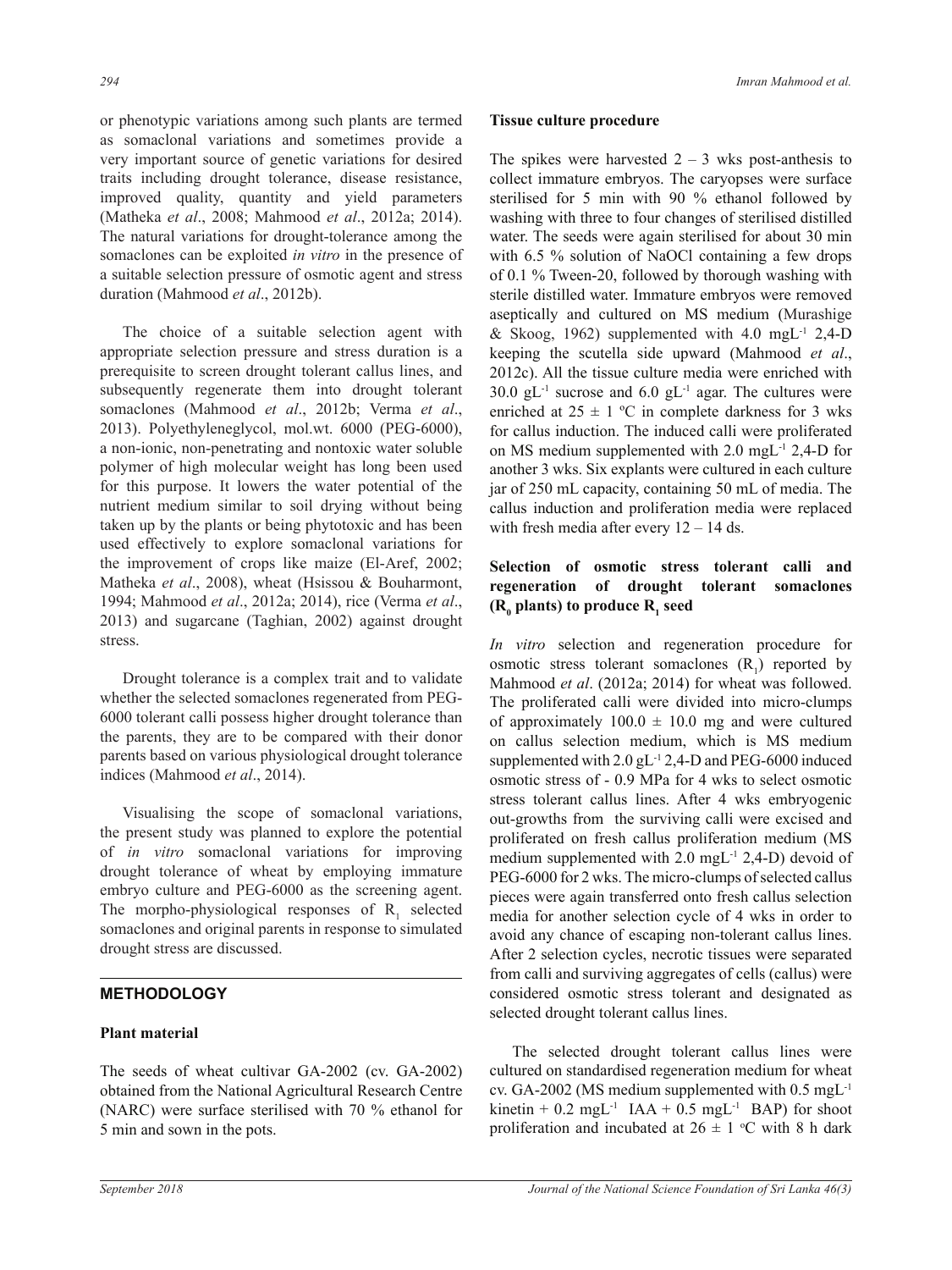or phenotypic variations among such plants are termed as somaclonal variations and sometimes provide a very important source of genetic variations for desired traits including drought tolerance, disease resistance, improved quality, quantity and yield parameters (Matheka *et al*., 2008; Mahmood *et al*., 2012a; 2014). The natural variations for drought-tolerance among the somaclones can be exploited *in vitro* in the presence of a suitable selection pressure of osmotic agent and stress duration (Mahmood *et al*., 2012b).

The choice of a suitable selection agent with appropriate selection pressure and stress duration is a prerequisite to screen drought tolerant callus lines, and subsequently regenerate them into drought tolerant somaclones (Mahmood *et al*., 2012b; Verma *et al*., 2013). Polyethyleneglycol, mol.wt. 6000 (PEG-6000), a non-ionic, non-penetrating and nontoxic water soluble polymer of high molecular weight has long been used for this purpose. It lowers the water potential of the nutrient medium similar to soil drying without being taken up by the plants or being phytotoxic and has been used effectively to explore somaclonal variations for the improvement of crops like maize (El-Aref, 2002; Matheka *et al*., 2008), wheat (Hsissou & Bouharmont, 1994; Mahmood *et al*., 2012a; 2014), rice (Verma *et al*., 2013) and sugarcane (Taghian, 2002) against drought stress.

Drought tolerance is a complex trait and to validate whether the selected somaclones regenerated from PEG-6000 tolerant calli possess higher drought tolerance than the parents, they are to be compared with their donor parents based on various physiological drought tolerance indices (Mahmood *et al*., 2014).

Visualising the scope of somaclonal variations, the present study was planned to explore the potential of *in vitro* somaclonal variations for improving drought tolerance of wheat by employing immature embryo culture and PEG-6000 as the screening agent. The morpho-physiological responses of  $R_1$  selected somaclones and original parents in response to simulated drought stress are discussed.

## **METHODOLOGY**

#### **Plant material**

The seeds of wheat cultivar GA-2002 (cv. GA-2002) obtained from the National Agricultural Research Centre (NARC) were surface sterilised with 70 % ethanol for 5 min and sown in the pots.

#### **Tissue culture procedure**

The spikes were harvested  $2 - 3$  wks post-anthesis to collect immature embryos. The caryopses were surface sterilised for 5 min with 90 % ethanol followed by washing with three to four changes of sterilised distilled water. The seeds were again sterilised for about 30 min with 6.5 % solution of NaOCl containing a few drops of 0.1 % Tween-20, followed by thorough washing with sterile distilled water. Immature embryos were removed aseptically and cultured on MS medium (Murashige & Skoog, 1962) supplemented with 4.0 mgL-1 2,4-D keeping the scutella side upward (Mahmood *et al*., 2012c). All the tissue culture media were enriched with  $30.0$  gL<sup>-1</sup> sucrose and  $6.0$  gL<sup>-1</sup> agar. The cultures were enriched at  $25 \pm 1$  °C in complete darkness for 3 wks for callus induction. The induced calli were proliferated on MS medium supplemented with 2.0 mgL-1 2,4-D for another 3 wks. Six explants were cultured in each culture jar of 250 mL capacity, containing 50 mL of media. The callus induction and proliferation media were replaced with fresh media after every  $12 - 14$  ds.

## **Selection of osmotic stress tolerant calli and regeneration of drought tolerant somaclones**  (**R**<sub>0</sub> plants) to produce **R**<sub>1</sub> seed

*In vitro* selection and regeneration procedure for osmotic stress tolerant somaclones  $(R_1)$  reported by Mahmood *et al*. (2012a; 2014) for wheat was followed. The proliferated calli were divided into micro-clumps of approximately  $100.0 \pm 10.0$  mg and were cultured on callus selection medium, which is MS medium supplemented with  $2.0$  gL<sup>-1</sup> 2,4-D and PEG-6000 induced osmotic stress of - 0.9 MPa for 4 wks to select osmotic stress tolerant callus lines. After 4 wks embryogenic out-growths from the surviving calli were excised and proliferated on fresh callus proliferation medium (MS medium supplemented with  $2.0 \text{ mgL}^{-1}$   $2.4-D$ ) devoid of PEG-6000 for 2 wks. The micro-clumps of selected callus pieces were again transferred onto fresh callus selection media for another selection cycle of 4 wks in order to avoid any chance of escaping non-tolerant callus lines. After 2 selection cycles, necrotic tissues were separated from calli and surviving aggregates of cells (callus) were considered osmotic stress tolerant and designated as selected drought tolerant callus lines.

The selected drought tolerant callus lines were cultured on standardised regeneration medium for wheat cv. GA-2002 (MS medium supplemented with 0.5 mgL-1 kinetin +  $0.2 \text{ mgL}^{-1}$  IAA +  $0.5 \text{ mgL}^{-1}$  BAP) for shoot proliferation and incubated at  $26 \pm 1$  °C with 8 h dark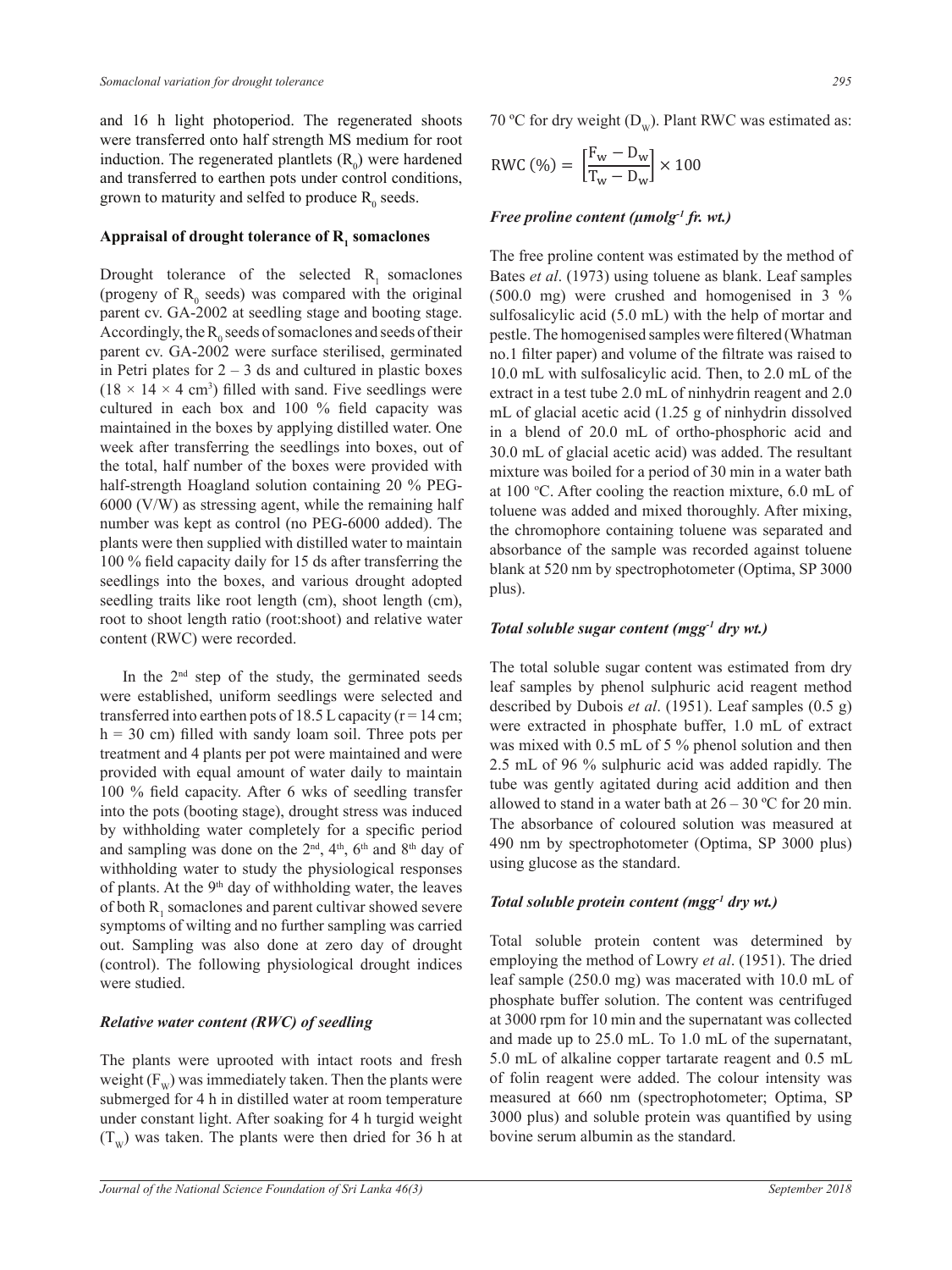and 16 h light photoperiod. The regenerated shoots were transferred onto half strength MS medium for root induction. The regenerated plantlets  $(R_0)$  were hardened and transferred to earthen pots under control conditions, grown to maturity and selfed to produce  $R_0$  seeds.

## ${\bf A}$ ppraisal of drought tolerance of  ${\bf R}_{_1}$  somaclones

Drought tolerance of the selected  $R_1$  somaclones (progeny of  $R_0$  seeds) was compared with the original parent cv. GA-2002 at seedling stage and booting stage. Accordingly, the  $R_0$  seeds of somaclones and seeds of their parent cv. GA-2002 were surface sterilised, germinated in Petri plates for  $2 - 3$  ds and cultured in plastic boxes  $(18 \times 14 \times 4 \text{ cm}^3)$  filled with sand. Five seedlings were cultured in each box and 100 % field capacity was maintained in the boxes by applying distilled water. One week after transferring the seedlings into boxes, out of the total, half number of the boxes were provided with half-strength Hoagland solution containing 20 % PEG-6000 (V/W) as stressing agent, while the remaining half number was kept as control (no PEG-6000 added). The plants were then supplied with distilled water to maintain 100 % field capacity daily for 15 ds after transferring the seedlings into the boxes, and various drought adopted seedling traits like root length (cm), shoot length (cm), root to shoot length ratio (root:shoot) and relative water content (RWC) were recorded.

In the  $2<sup>nd</sup>$  step of the study, the germinated seeds were established, uniform seedlings were selected and transferred into earthen pots of 18.5 L capacity ( $r = 14$  cm;  $h = 30$  cm) filled with sandy loam soil. Three pots per treatment and 4 plants per pot were maintained and were provided with equal amount of water daily to maintain 100 % field capacity. After 6 wks of seedling transfer into the pots (booting stage), drought stress was induced by withholding water completely for a specific period and sampling was done on the  $2<sup>nd</sup>$ ,  $4<sup>th</sup>$ ,  $6<sup>th</sup>$  and  $8<sup>th</sup>$  day of withholding water to study the physiological responses of plants. At the  $9<sup>th</sup>$  day of withholding water, the leaves of both  $R_1$  somaclones and parent cultivar showed severe symptoms of wilting and no further sampling was carried out. Sampling was also done at zero day of drought (control). The following physiological drought indices were studied.

#### *Relative water content (RWC) of seedling*

The plants were uprooted with intact roots and fresh weight  $(F_w)$  was immediately taken. Then the plants were submerged for 4 h in distilled water at room temperature under constant light. After soaking for 4 h turgid weight  $(T_w)$  was taken. The plants were then dried for 36 h at 70 °C for dry weight  $(D_w)$ . Plant RWC was estimated as:

$$
RWC\left(\% \right) = \left[\frac{F_w - D_w}{T_w - D_w}\right] \times 100
$$

#### *Free proline content (µmolg-1 fr. wt.)*

The free proline content was estimated by the method of Bates *et al*. (1973) using toluene as blank. Leaf samples (500.0 mg) were crushed and homogenised in 3 % sulfosalicylic acid (5.0 mL) with the help of mortar and pestle. The homogenised samples were filtered (Whatman no.1 filter paper) and volume of the filtrate was raised to 10.0 mL with sulfosalicylic acid. Then, to 2.0 mL of the extract in a test tube 2.0 mL of ninhydrin reagent and 2.0 mL of glacial acetic acid (1.25 g of ninhydrin dissolved in a blend of 20.0 mL of ortho-phosphoric acid and 30.0 mL of glacial acetic acid) was added. The resultant mixture was boiled for a period of 30 min in a water bath at 100 °C. After cooling the reaction mixture, 6.0 mL of toluene was added and mixed thoroughly. After mixing, the chromophore containing toluene was separated and absorbance of the sample was recorded against toluene blank at 520 nm by spectrophotometer (Optima, SP 3000 plus).

#### *Total soluble sugar content (mgg-1 dry wt.)*

The total soluble sugar content was estimated from dry leaf samples by phenol sulphuric acid reagent method described by Dubois *et al*. (1951). Leaf samples (0.5 g) were extracted in phosphate buffer, 1.0 mL of extract was mixed with 0.5 mL of 5 % phenol solution and then 2.5 mL of 96 % sulphuric acid was added rapidly. The tube was gently agitated during acid addition and then allowed to stand in a water bath at  $26 - 30$  °C for 20 min. The absorbance of coloured solution was measured at 490 nm by spectrophotometer (Optima, SP 3000 plus) using glucose as the standard.

#### *Total soluble protein content (mgg-1 dry wt.)*

Total soluble protein content was determined by employing the method of Lowry *et al*. (1951). The dried leaf sample (250.0 mg) was macerated with 10.0 mL of phosphate buffer solution. The content was centrifuged at 3000 rpm for 10 min and the supernatant was collected and made up to 25.0 mL. To 1.0 mL of the supernatant, 5.0 mL of alkaline copper tartarate reagent and 0.5 mL of folin reagent were added. The colour intensity was measured at 660 nm (spectrophotometer; Optima, SP 3000 plus) and soluble protein was quantified by using bovine serum albumin as the standard.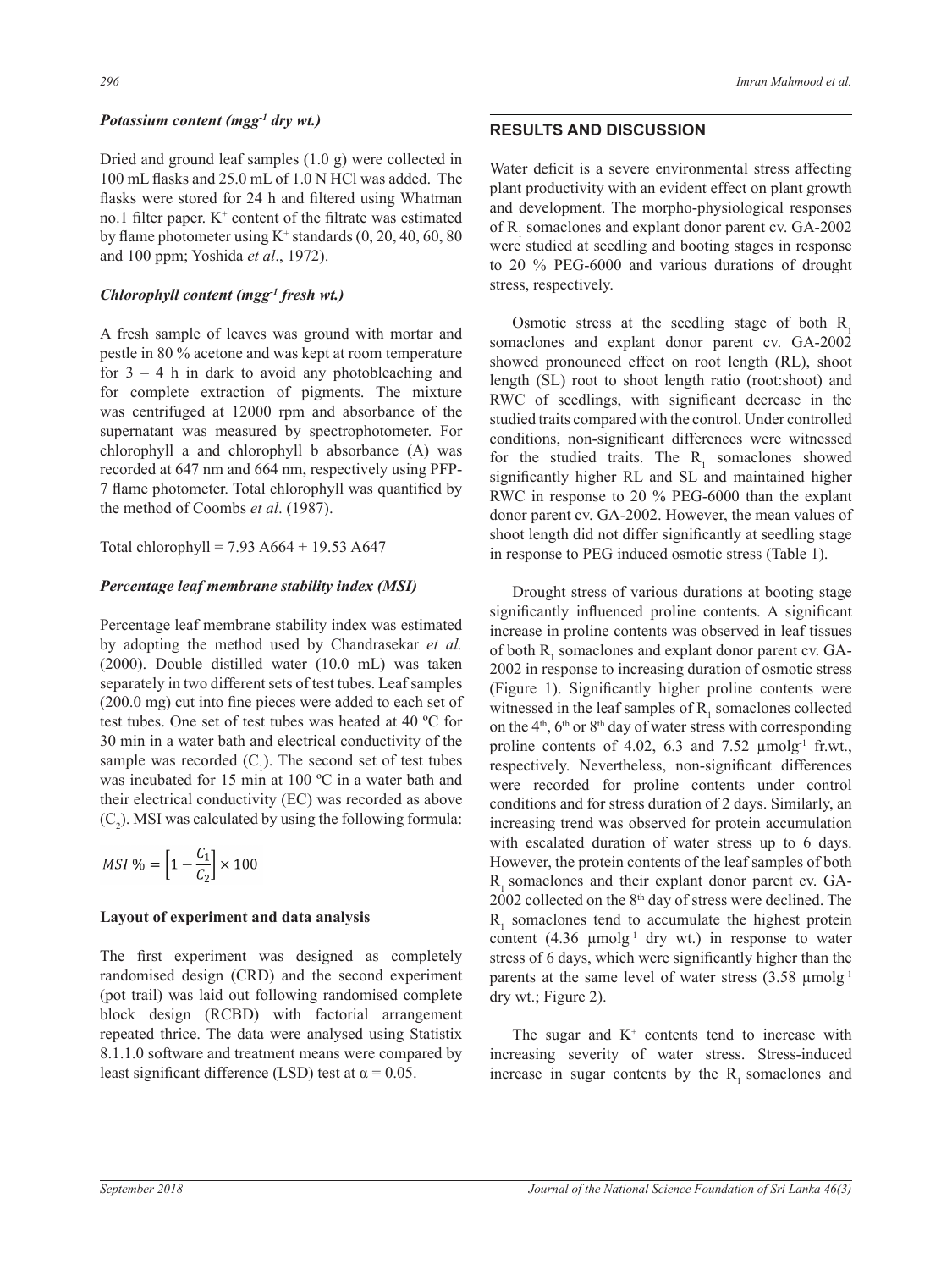#### *Potassium content (mgg-1 dry wt.)*

Dried and ground leaf samples (1.0 g) were collected in 100 mL flasks and 25.0 mL of 1.0 N HCl was added. The flasks were stored for 24 h and filtered using Whatman no.1 filter paper.  $K^+$  content of the filtrate was estimated by flame photometer using  $K^+$  standards  $(0, 20, 40, 60, 80)$ and 100 ppm; Yoshida *et al*., 1972).

#### *Chlorophyll content (mgg-1 fresh wt.)*

A fresh sample of leaves was ground with mortar and pestle in 80 % acetone and was kept at room temperature for  $3 - 4$  h in dark to avoid any photobleaching and for complete extraction of pigments. The mixture was centrifuged at 12000 rpm and absorbance of the supernatant was measured by spectrophotometer. For chlorophyll a and chlorophyll b absorbance (A) was recorded at 647 nm and 664 nm, respectively using PFP-7 flame photometer. Total chlorophyll was quantified by the method of Coombs *et al*. (1987).

Total chlorophyll =  $7.93$  A664 + 19.53 A647

#### *Percentage leaf membrane stability index (MSI)*

Percentage leaf membrane stability index was estimated by adopting the method used by Chandrasekar *et al.* (2000). Double distilled water (10.0 mL) was taken separately in two different sets of test tubes. Leaf samples (200.0 mg) cut into fine pieces were added to each set of test tubes. One set of test tubes was heated at 40 ºC for 30 min in a water bath and electrical conductivity of the sample was recorded  $(C_1)$ . The second set of test tubes was incubated for 15 min at 100 ºC in a water bath and their electrical conductivity (EC) was recorded as above  $(C_2)$ . MSI was calculated by using the following formula:

$$
MSI\% = \left[1 - \frac{C_1}{C_2}\right] \times 100
$$

#### **Layout of experiment and data analysis**

The first experiment was designed as completely randomised design (CRD) and the second experiment (pot trail) was laid out following randomised complete block design (RCBD) with factorial arrangement repeated thrice. The data were analysed using Statistix 8.1.1.0 software and treatment means were compared by least significant difference (LSD) test at  $\alpha = 0.05$ .

### **RESULTS AND DISCUSSION**

Water deficit is a severe environmental stress affecting plant productivity with an evident effect on plant growth and development. The morpho-physiological responses of  $R_1$  somaclones and explant donor parent cv.  $GA-2002$ were studied at seedling and booting stages in response to 20 % PEG-6000 and various durations of drought stress, respectively.

Osmotic stress at the seedling stage of both  $R_1$ somaclones and explant donor parent cv. GA-2002 showed pronounced effect on root length (RL), shoot length (SL) root to shoot length ratio (root:shoot) and RWC of seedlings, with significant decrease in the studied traits compared with the control. Under controlled conditions, non-significant differences were witnessed for the studied traits. The  $R_1$  somaclones showed significantly higher RL and SL and maintained higher RWC in response to 20 % PEG-6000 than the explant donor parent cv. GA-2002. However, the mean values of shoot length did not differ significantly at seedling stage in response to PEG induced osmotic stress (Table 1).

Drought stress of various durations at booting stage significantly influenced proline contents. A significant increase in proline contents was observed in leaf tissues of both  $R_1$  somaclones and explant donor parent cv. GA-2002 in response to increasing duration of osmotic stress (Figure 1). Significantly higher proline contents were witnessed in the leaf samples of  $R_1$  somaclones collected on the  $4<sup>th</sup>$ , 6<sup>th</sup> or  $8<sup>th</sup>$  day of water stress with corresponding proline contents of 4.02, 6.3 and 7.52  $\mu$ molg<sup>-1</sup> fr.wt., respectively. Nevertheless, non-significant differences were recorded for proline contents under control conditions and for stress duration of 2 days. Similarly, an increasing trend was observed for protein accumulation with escalated duration of water stress up to 6 days. However, the protein contents of the leaf samples of both  $R<sub>1</sub>$  somaclones and their explant donor parent cv. GA-2002 collected on the 8<sup>th</sup> day of stress were declined. The  $R_1$  somaclones tend to accumulate the highest protein content  $(4.36 \mu m \log^4$  dry wt.) in response to water stress of 6 days, which were significantly higher than the parents at the same level of water stress  $(3.58 \mu m$ olg<sup>-1</sup> dry wt.; Figure 2).

The sugar and  $K<sup>+</sup>$  contents tend to increase with increasing severity of water stress. Stress-induced increase in sugar contents by the  $R_1$  somaclones and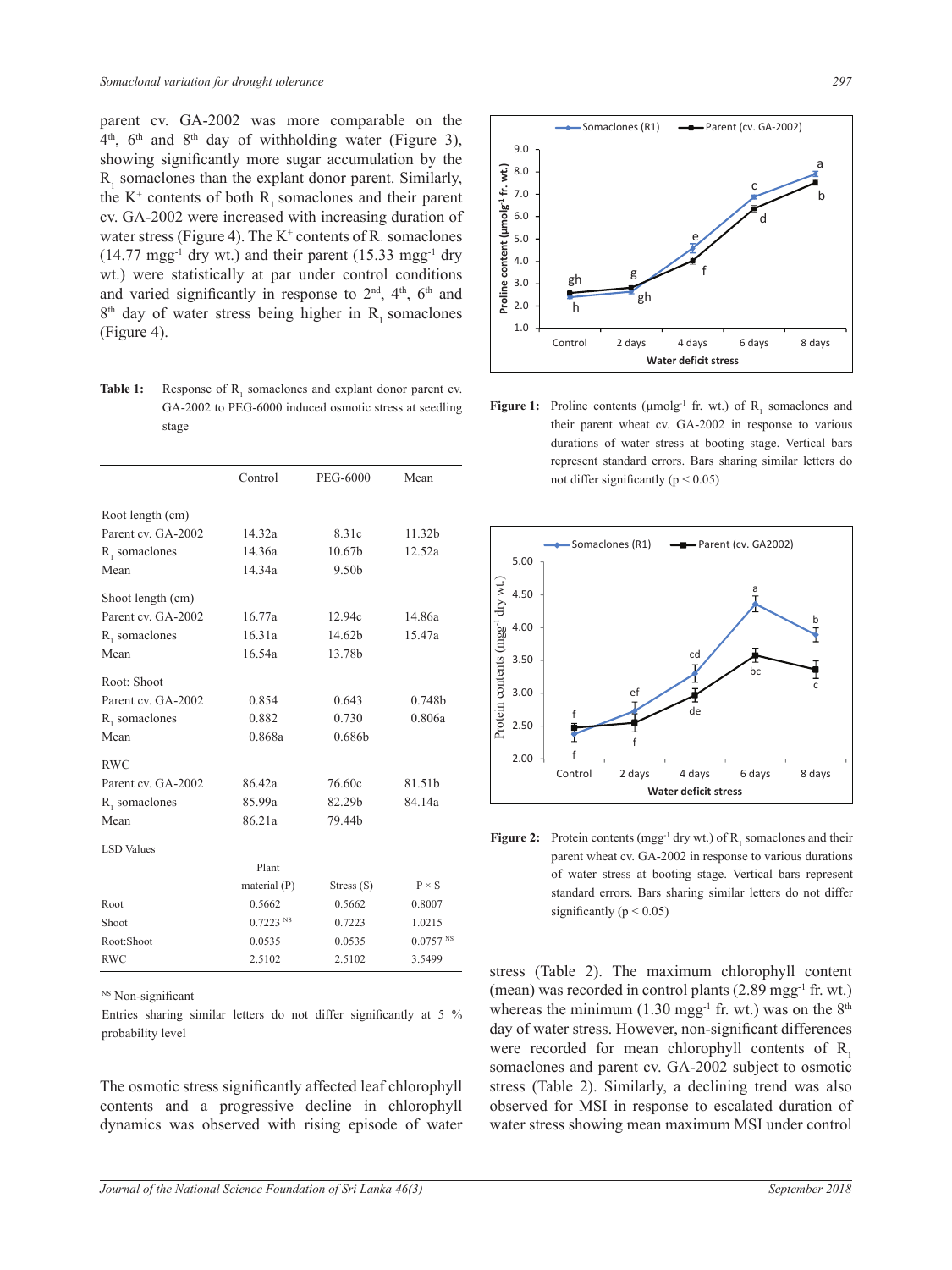parent cv. GA-2002 was more comparable on the  $4<sup>th</sup>$ ,  $6<sup>th</sup>$  and  $8<sup>th</sup>$  day of withholding water (Figure 3), showing significantly more sugar accumulation by the  $R_1$  somaclones than the explant donor parent. Similarly, the  $K^+$  contents of both  $R_1$  somaclones and their parent cv. GA-2002 were increased with increasing duration of water stress (Figure 4). The  $K^+$  contents of  $R_1$  somaclones  $(14.77 \text{ mgg}^{-1} \text{ dry wt.})$  and their parent  $(15.33 \text{ mgg}^{-1} \text{ dry wt.})$ wt.) were statistically at par under control conditions and varied significantly in response to  $2<sup>nd</sup>$ ,  $4<sup>th</sup>$ ,  $6<sup>th</sup>$  and  $8<sup>th</sup>$  day of water stress being higher in R<sub>1</sub> somaclones (Figure 4).

**Table 1:** Response of  $R_1$  somaclones and explant donor parent cv. GA-2002 to PEG-6000 induced osmotic stress at seedling stage

|                    | Control                | <b>PEG-6000</b> | Mean                   |  |
|--------------------|------------------------|-----------------|------------------------|--|
| Root length (cm)   |                        |                 |                        |  |
| Parent cv. GA-2002 | 14.32a<br>8.31c        |                 | 11.32b                 |  |
| $R_1$ somaclones   | 14.36a                 | 10.67b          | 12.52a                 |  |
| Mean               | 14.34a                 | 9.50b           |                        |  |
| Shoot length (cm)  |                        |                 |                        |  |
| Parent cv. GA-2002 | 16.77a                 | 12.94c          | 14.86a                 |  |
| R, somaclones      | 16.31a                 | 14.62b          | 15.47a                 |  |
| Mean               | 16.54a                 | 13.78b          |                        |  |
| Root: Shoot        |                        |                 |                        |  |
| Parent cv. GA-2002 | 0.854                  | 0.643           | 0.748b                 |  |
| $R1$ somaclones    | 0.882                  | 0.730           | 0.806a                 |  |
| Mean               | 0.868a                 | 0.686b          |                        |  |
| <b>RWC</b>         |                        |                 |                        |  |
| Parent cv. GA-2002 | 86.42a                 | 76.60c          | 81.51b                 |  |
| R, somaclones      | 85.99a                 | 82.29b          | 84.14a                 |  |
| Mean               | 86.21a                 | 79.44b          |                        |  |
| <b>LSD</b> Values  |                        |                 |                        |  |
|                    | Plant                  |                 |                        |  |
|                    | material (P)           | Stress $(S)$    | $P \times S$           |  |
| Root               | 0.5662                 | 0.5662          | 0.8007                 |  |
| Shoot              | $0.7223$ <sup>NS</sup> | 0.7223          | 1.0215                 |  |
| Root: Shoot        | 0.0535                 | 0.0535          | $0.0757$ <sup>NS</sup> |  |
| <b>RWC</b>         | 2.5102                 | 2.5102          | 3.5499                 |  |

<sup>NS</sup> Non-significant

Entries sharing similar letters do not differ significantly at 5 % probability level

The osmotic stress significantly affected leaf chlorophyll contents and a progressive decline in chlorophyll dynamics was observed with rising episode of water



their parent wheat cv. GA-2002 in response to various **Figure 1:** Proline contents ( $\mu$ molg<sup>-1</sup> fr. wt.) of  $R_1$  somaclones and durations of water stress at booting stage. Vertical bars represent standard errors. Bars sharing similar letters do not differ significantly ( $p \le 0.05$ )



**Figure 2:** Protein contents (mgg<sup>-1</sup> dry wt.) of  $R_1$  somaclones and their parent wheat cv. GA-2002 in response to various durations of water stress at booting stage. Vertical bars represent standard errors. Bars sharing similar letters do not differ significantly ( $p \le 0.05$ )

stress (Table 2). The maximum chlorophyll content (mean) was recorded in control plants (2.89 mgg-1 fr. wt.) whereas the minimum (1.30 mgg<sup>-1</sup> fr. wt.) was on the  $8<sup>th</sup>$ day of water stress. However, non-significant differences were recorded for mean chlorophyll contents of  $R_1$ somaclones and parent cv. GA-2002 subject to osmotic stress (Table 2). Similarly, a declining trend was also observed for MSI in response to escalated duration of water stress showing mean maximum MSI under control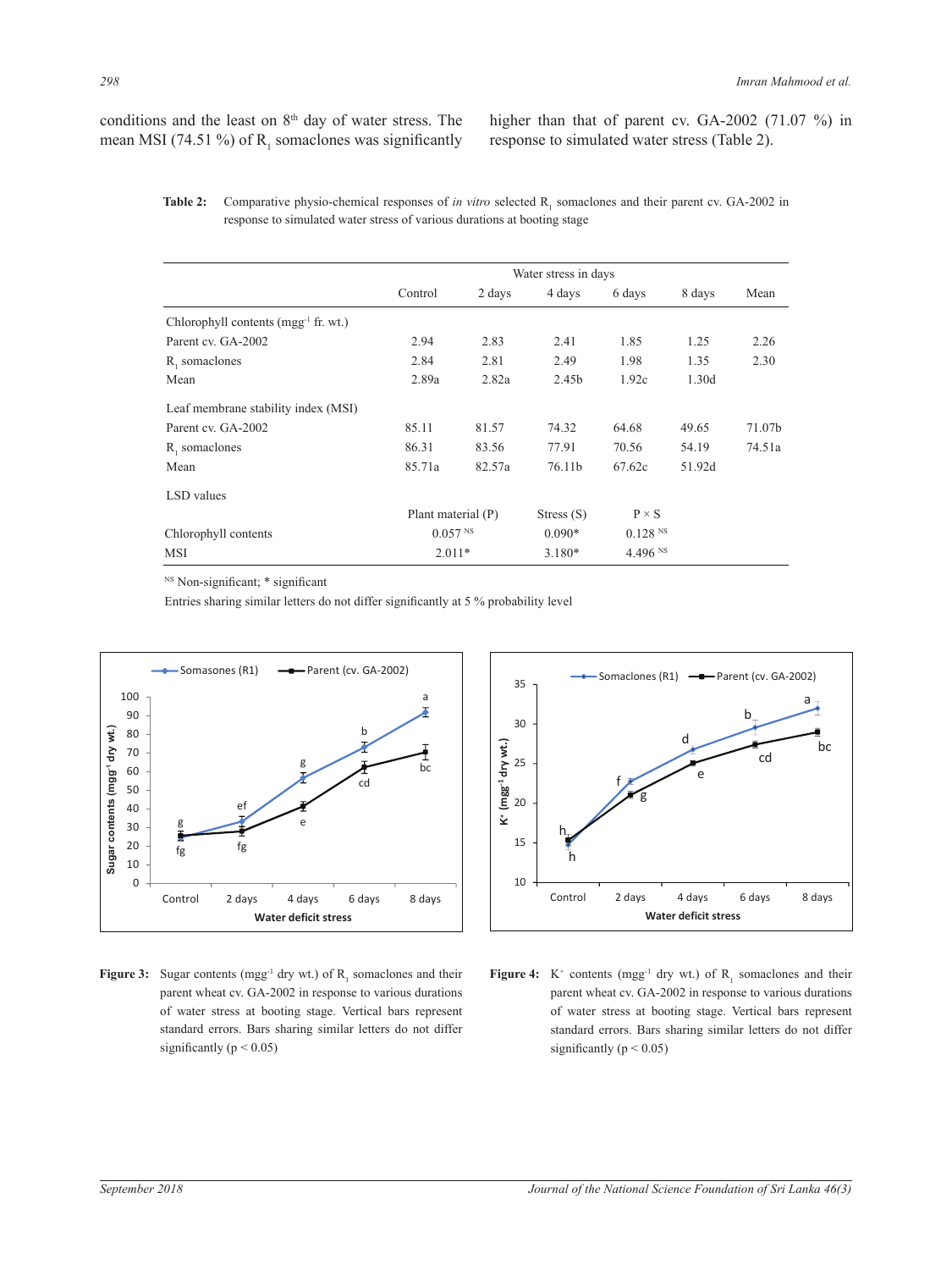conditions and the least on 8<sup>th</sup> day of water stress. The mean MSI (74.51 %) of  $R_1$  somaclones was significantly higher than that of parent cv. GA-2002 (71.07 %) in response to simulated water stress (Table 2).

**Table 2:** Comparative physio-chemical responses of *in vitro* selected  $R_1$  somaclones and their parent cv. GA-2002 in response to simulated water stress of various durations at booting stage

|                                                  | Water stress in days  |        |              |              |        |        |
|--------------------------------------------------|-----------------------|--------|--------------|--------------|--------|--------|
|                                                  | Control               | 2 days | 4 days       | 6 days       | 8 days | Mean   |
| Chlorophyll contents (mgg <sup>-1</sup> fr. wt.) |                       |        |              |              |        |        |
| Parent cv. GA-2002                               | 2.94                  | 2.83   | 2.41         | 1.85         | 1.25   | 2.26   |
| R, somaclones                                    | 2.84                  | 2.81   | 2.49         | 1.98         | 1.35   | 2.30   |
| Mean                                             | 2.89a                 | 2.82a  | 2.45b        | 1.92c        | 1.30d  |        |
| Leaf membrane stability index (MSI)              |                       |        |              |              |        |        |
| Parent cv. GA-2002                               | 85.11                 | 81.57  | 74.32        | 64.68        | 49.65  | 71.07b |
| R, somaclones                                    | 86.31                 | 83.56  | 77.91        | 70.56        | 54.19  | 74.51a |
| Mean                                             | 85.71a                | 82.57a | 76.11b       | 67.62c       | 51.92d |        |
| LSD values                                       |                       |        |              |              |        |        |
|                                                  | Plant material (P)    |        | Stress $(S)$ | $P \times S$ |        |        |
| Chlorophyll contents                             | $0.057$ <sup>NS</sup> |        | $0.090*$     | 0.128 N      |        |        |
| MSI                                              | $2.011*$              |        | $3.180*$     | 4.496 NS     |        |        |

<sup>NS</sup> Non-significant; \* significant

Entries sharing similar letters do not differ significantly at 5 % probability level



**Figure 3:** Sugar contents (mgg<sup>-1</sup> dry wt.) of  $R_1$  somaclones and their **Figure 4:** K<sup>+</sup> cont parent wheat cv. GA-2002 in response to various durations p of water stress at booting stage. Vertical bars represent standard errors. Bars sharing similar letters do not differ significantly ( $p < 0.05$ )



**Figure 4:**  $K^+$  contents (mgg<sup>-1</sup> dry wt.) of  $R_1$  somaclones and their rations parent wheat cv. GA-2002 in response to various durations of water stress at booting stage. Vertical bars represent standard errors. Bars sharing similar letters do not differ significantly ( $p < 0.05$ )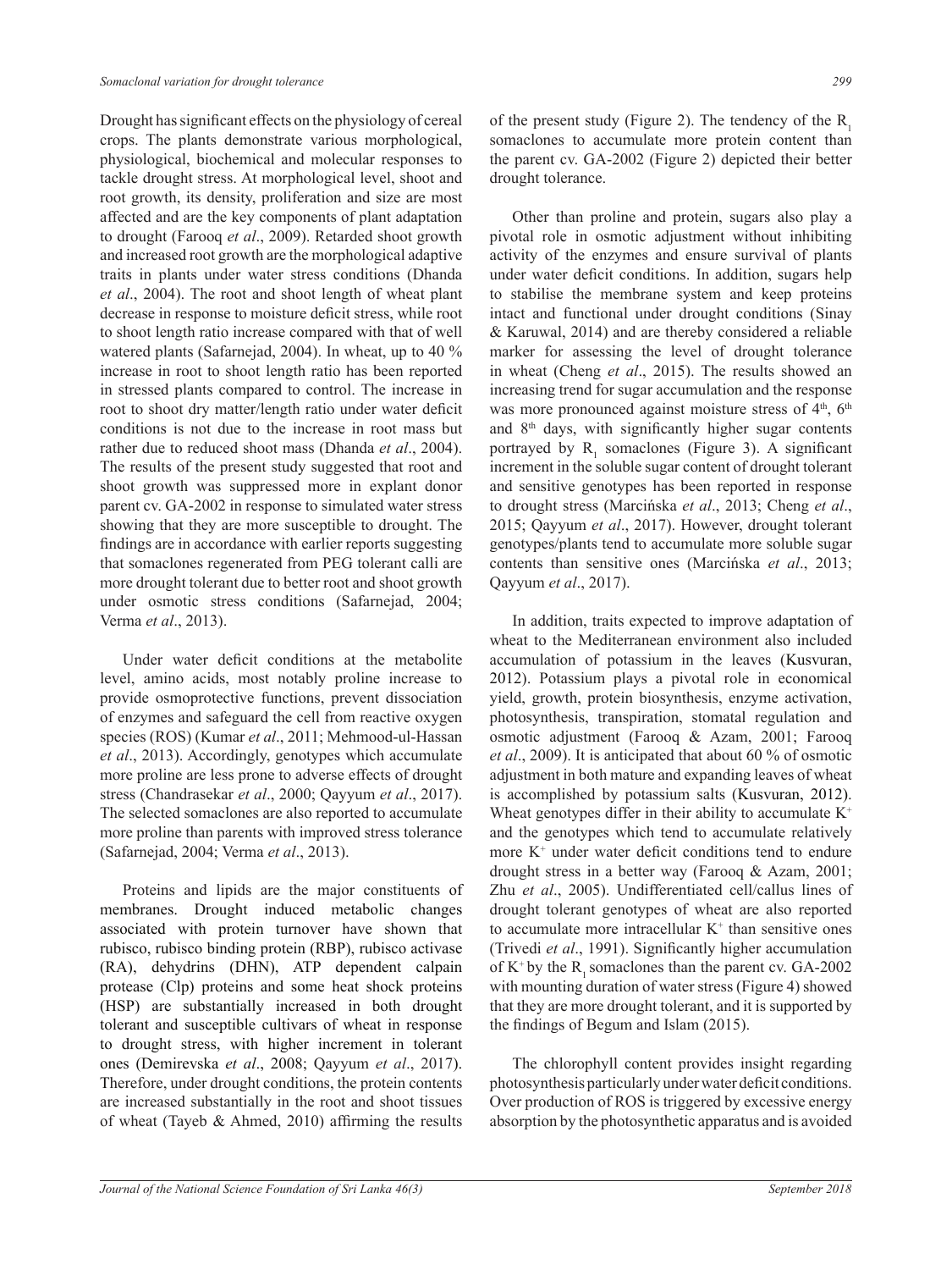Drought has significant effects on the physiology of cereal crops. The plants demonstrate various morphological, physiological, biochemical and molecular responses to tackle drought stress. At morphological level, shoot and root growth, its density, proliferation and size are most affected and are the key components of plant adaptation to drought (Farooq *et al*., 2009). Retarded shoot growth and increased root growth are the morphological adaptive traits in plants under water stress conditions (Dhanda *et al*., 2004). The root and shoot length of wheat plant decrease in response to moisture deficit stress, while root to shoot length ratio increase compared with that of well watered plants (Safarnejad, 2004). In wheat, up to 40 % increase in root to shoot length ratio has been reported in stressed plants compared to control. The increase in root to shoot dry matter/length ratio under water deficit conditions is not due to the increase in root mass but rather due to reduced shoot mass (Dhanda *et al*., 2004). The results of the present study suggested that root and shoot growth was suppressed more in explant donor parent cv. GA-2002 in response to simulated water stress showing that they are more susceptible to drought. The findings are in accordance with earlier reports suggesting that somaclones regenerated from PEG tolerant calli are more drought tolerant due to better root and shoot growth under osmotic stress conditions (Safarnejad, 2004; Verma *et al*., 2013).

Under water deficit conditions at the metabolite level, amino acids, most notably proline increase to provide osmoprotective functions, prevent dissociation of enzymes and safeguard the cell from reactive oxygen species (ROS) (Kumar *et al*., 2011; Mehmood-ul-Hassan *et al*., 2013). Accordingly, genotypes which accumulate more proline are less prone to adverse effects of drought stress (Chandrasekar *et al*., 2000; Qayyum *et al*., 2017). The selected somaclones are also reported to accumulate more proline than parents with improved stress tolerance (Safarnejad, 2004; Verma *et al*., 2013).

Proteins and lipids are the major constituents of membranes. Drought induced metabolic changes associated with protein turnover have shown that rubisco, rubisco binding protein (RBP), rubisco activase (RA), dehydrins (DHN), ATP dependent calpain protease (Clp) proteins and some heat shock proteins (HSP) are substantially increased in both drought tolerant and susceptible cultivars of wheat in response to drought stress, with higher increment in tolerant ones (Demirevska *et al*., 2008; Qayyum *et al*., 2017). Therefore, under drought conditions, the protein contents are increased substantially in the root and shoot tissues of wheat (Tayeb & Ahmed, 2010) affirming the results

of the present study (Figure 2). The tendency of the  $R_1$ somaclones to accumulate more protein content than the parent cv. GA-2002 (Figure 2) depicted their better drought tolerance.

Other than proline and protein, sugars also play a pivotal role in osmotic adjustment without inhibiting activity of the enzymes and ensure survival of plants under water deficit conditions. In addition, sugars help to stabilise the membrane system and keep proteins intact and functional under drought conditions (Sinay & Karuwal, 2014) and are thereby considered a reliable marker for assessing the level of drought tolerance in wheat (Cheng *et al*., 2015). The results showed an increasing trend for sugar accumulation and the response was more pronounced against moisture stress of  $4<sup>th</sup>$ ,  $6<sup>th</sup>$ and 8th days, with significantly higher sugar contents portrayed by  $R_1$  somaclones (Figure 3). A significant increment in the soluble sugar content of drought tolerant and sensitive genotypes has been reported in response to drought stress (Marcińska *et al*., 2013; Cheng *et al*., 2015; Qayyum *et al*., 2017). However, drought tolerant genotypes/plants tend to accumulate more soluble sugar contents than sensitive ones (Marcińska *et al*., 2013; Qayyum *et al*., 2017).

In addition, traits expected to improve adaptation of wheat to the Mediterranean environment also included accumulation of potassium in the leaves (Kusvuran, 2012). Potassium plays a pivotal role in economical yield, growth, protein biosynthesis, enzyme activation, photosynthesis, transpiration, stomatal regulation and osmotic adjustment (Farooq & Azam, 2001; Farooq *et al*., 2009). It is anticipated that about 60 % of osmotic adjustment in both mature and expanding leaves of wheat is accomplished by potassium salts (Kusvuran, 2012). Wheat genotypes differ in their ability to accumulate  $K^+$ and the genotypes which tend to accumulate relatively more K+ under water deficit conditions tend to endure drought stress in a better way (Farooq & Azam, 2001; Zhu *et al*., 2005). Undifferentiated cell/callus lines of drought tolerant genotypes of wheat are also reported to accumulate more intracellular  $K^+$  than sensitive ones (Trivedi *et al*., 1991). Significantly higher accumulation of  $K^+$  by the R<sub>1</sub> somaclones than the parent cv. GA-2002 with mounting duration of water stress (Figure 4) showed that they are more drought tolerant, and it is supported by the findings of Begum and Islam (2015).

The chlorophyll content provides insight regarding photosynthesis particularly under water deficit conditions. Over production of ROS is triggered by excessive energy absorption by the photosynthetic apparatus and is avoided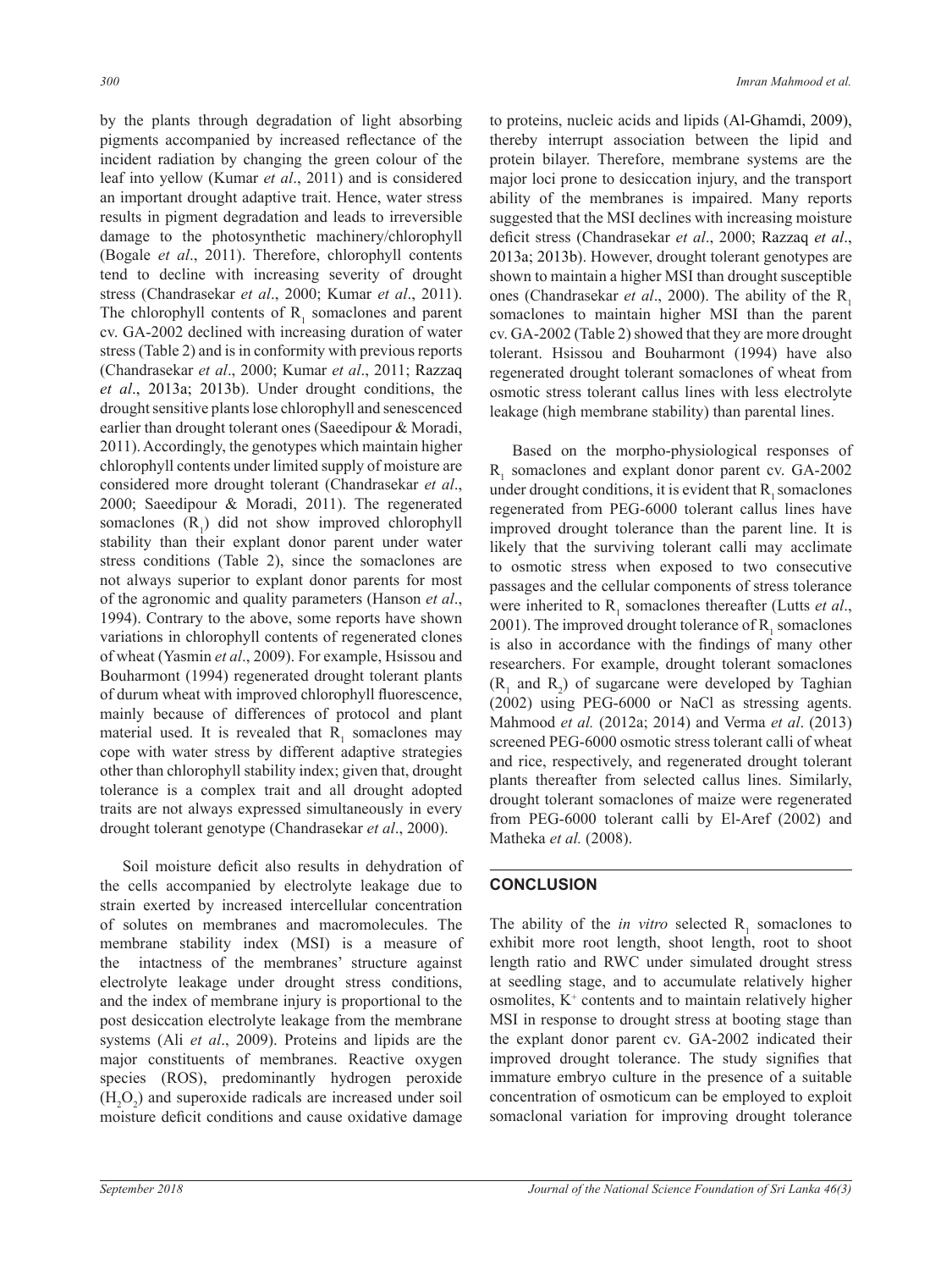by the plants through degradation of light absorbing pigments accompanied by increased reflectance of the incident radiation by changing the green colour of the leaf into yellow (Kumar *et al*., 2011) and is considered an important drought adaptive trait. Hence, water stress results in pigment degradation and leads to irreversible damage to the photosynthetic machinery/chlorophyll (Bogale *et al*., 2011). Therefore, chlorophyll contents tend to decline with increasing severity of drought stress (Chandrasekar *et al*., 2000; Kumar *et al*., 2011). The chlorophyll contents of  $R_1$  somaclones and parent cv. GA-2002 declined with increasing duration of water stress (Table 2) and is in conformity with previous reports (Chandrasekar *et al*., 2000; Kumar *et al*., 2011; Razzaq *et al*., 2013a; 2013b). Under drought conditions, the drought sensitive plants lose chlorophyll and senescenced earlier than drought tolerant ones (Saeedipour & Moradi, 2011). Accordingly, the genotypes which maintain higher chlorophyll contents under limited supply of moisture are considered more drought tolerant (Chandrasekar *et al*., 2000; Saeedipour & Moradi, 2011). The regenerated somaclones  $(R_1)$  did not show improved chlorophyll stability than their explant donor parent under water stress conditions (Table 2), since the somaclones are not always superior to explant donor parents for most of the agronomic and quality parameters (Hanson *et al*., 1994). Contrary to the above, some reports have shown variations in chlorophyll contents of regenerated clones of wheat (Yasmin *et al*., 2009). For example, Hsissou and Bouharmont (1994) regenerated drought tolerant plants of durum wheat with improved chlorophyll fluorescence, mainly because of differences of protocol and plant material used. It is revealed that  $R_1$  somaclones may cope with water stress by different adaptive strategies other than chlorophyll stability index; given that, drought tolerance is a complex trait and all drought adopted traits are not always expressed simultaneously in every drought tolerant genotype (Chandrasekar *et al*., 2000).

Soil moisture deficit also results in dehydration of the cells accompanied by electrolyte leakage due to strain exerted by increased intercellular concentration of solutes on membranes and macromolecules. The membrane stability index (MSI) is a measure of the intactness of the membranes' structure against electrolyte leakage under drought stress conditions, and the index of membrane injury is proportional to the post desiccation electrolyte leakage from the membrane systems (Ali *et al*., 2009). Proteins and lipids are the major constituents of membranes. Reactive oxygen species (ROS), predominantly hydrogen peroxide  $(H_2O_2)$  and superoxide radicals are increased under soil moisture deficit conditions and cause oxidative damage

to proteins, nucleic acids and lipids (Al-Ghamdi, 2009), thereby interrupt association between the lipid and protein bilayer. Therefore, membrane systems are the major loci prone to desiccation injury, and the transport ability of the membranes is impaired. Many reports suggested that the MSI declines with increasing moisture deficit stress (Chandrasekar *et al*., 2000; Razzaq *et al*., 2013a; 2013b). However, drought tolerant genotypes are shown to maintain a higher MSI than drought susceptible ones (Chandrasekar *et al.*, 2000). The ability of the R<sub>1</sub>, somaclones to maintain higher MSI than the parent cv. GA-2002 (Table 2) showed that they are more drought tolerant. Hsissou and Bouharmont (1994) have also regenerated drought tolerant somaclones of wheat from osmotic stress tolerant callus lines with less electrolyte leakage (high membrane stability) than parental lines.

Based on the morpho-physiological responses of  $R<sub>1</sub>$  somaclones and explant donor parent cv. GA-2002 under drought conditions, it is evident that  $R_1$  somaclones regenerated from PEG-6000 tolerant callus lines have improved drought tolerance than the parent line. It is likely that the surviving tolerant calli may acclimate to osmotic stress when exposed to two consecutive passages and the cellular components of stress tolerance were inherited to  $R_1$  somaclones thereafter (Lutts *et al.*, 2001). The improved drought tolerance of  $R_1$  somaclones is also in accordance with the findings of many other researchers. For example, drought tolerant somaclones  $(R_1$  and  $R_2$ ) of sugarcane were developed by Taghian (2002) using PEG-6000 or NaCl as stressing agents. Mahmood *et al.* (2012a; 2014) and Verma *et al*. (2013) screened PEG-6000 osmotic stress tolerant calli of wheat and rice, respectively, and regenerated drought tolerant plants thereafter from selected callus lines. Similarly, drought tolerant somaclones of maize were regenerated from PEG-6000 tolerant calli by El-Aref (2002) and Matheka *et al.* (2008).

## **CONCLUSION**

The ability of the *in vitro* selected  $R_1$  somaclones to exhibit more root length, shoot length, root to shoot length ratio and RWC under simulated drought stress at seedling stage, and to accumulate relatively higher osmolites, K+ contents and to maintain relatively higher MSI in response to drought stress at booting stage than the explant donor parent cv. GA-2002 indicated their improved drought tolerance. The study signifies that immature embryo culture in the presence of a suitable concentration of osmoticum can be employed to exploit somaclonal variation for improving drought tolerance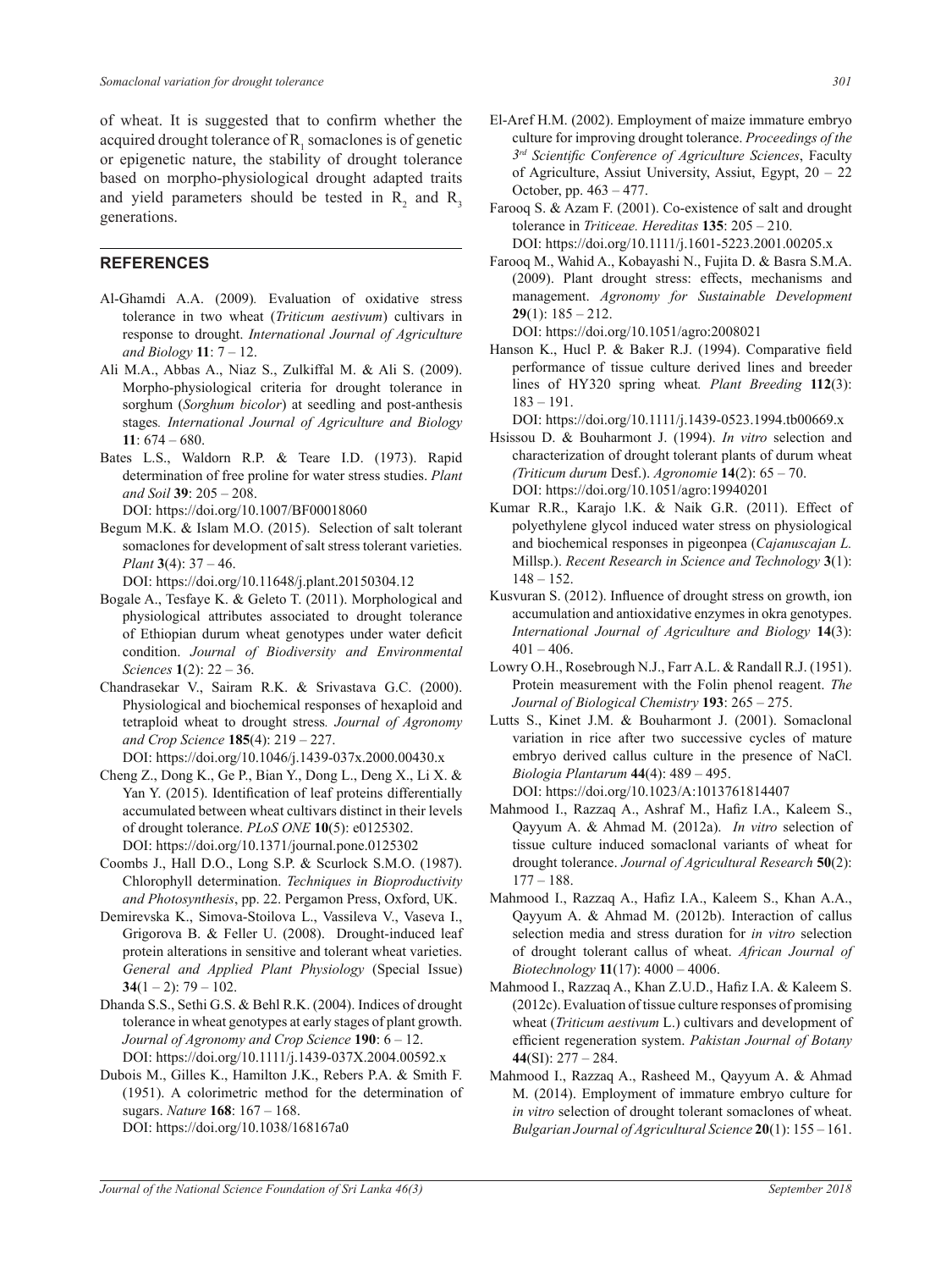of wheat. It is suggested that to confirm whether the acquired drought tolerance of  $R_1$  somaclones is of genetic or epigenetic nature, the stability of drought tolerance based on morpho-physiological drought adapted traits and yield parameters should be tested in  $R_2$  and  $R_3$ generations.

#### **REFERENCES**

- Al-Ghamdi A.A. (2009)*.* Evaluation of oxidative stress tolerance in two wheat (*Triticum aestivum*) cultivars in response to drought. *International Journal of Agriculture and Biology* **11**: 7 – 12.
- Ali M.A., Abbas A., Niaz S., Zulkiffal M. & Ali S. (2009). Morpho-physiological criteria for drought tolerance in sorghum (*Sorghum bicolor*) at seedling and post-anthesis stages*. International Journal of Agriculture and Biology* **11**: 674 – 680.
- Bates L.S., Waldorn R.P. & Teare I.D. (1973). Rapid determination of free proline for water stress studies. *Plant and Soil* **39**: 205 – 208.
	- DOI: https://doi.org/10.1007/BF00018060
- Begum M.K. & Islam M.O. (2015). Selection of salt tolerant somaclones for development of salt stress tolerant varieties. *Plant* **3**(4): 37 – 46.

DOI: https://doi.org/10.11648/j.plant.20150304.12

- Bogale A., Tesfaye K. & Geleto T. (2011). Morphological and physiological attributes associated to drought tolerance of Ethiopian durum wheat genotypes under water deficit condition. *Journal of Biodiversity and Environmental Sciences* **1**(2): 22 – 36.
- Chandrasekar V., Sairam R.K. & Srivastava G.C. (2000). Physiological and biochemical responses of hexaploid and tetraploid wheat to drought stress*. Journal of Agronomy and Crop Science* **185**(4): 219 – 227. DOI: https://doi.org/10.1046/j.1439-037x.2000.00430.x
- Cheng Z., Dong K., Ge P., Bian Y., Dong L., Deng X., Li X. & Yan Y. (2015). Identification of leaf proteins differentially accumulated between wheat cultivars distinct in their levels of drought tolerance. *PLoS ONE* **10**(5): e0125302. DOI: https://doi.org/10.1371/journal.pone.0125302
- Coombs J., Hall D.O., Long S.P. & Scurlock S.M.O. (1987). Chlorophyll determination. *Techniques in Bioproductivity and Photosynthesis*, pp. 22. Pergamon Press, Oxford, UK.
- Demirevska K., Simova-Stoilova L., Vassileva V., Vaseva I., Grigorova B. & Feller U. (2008). Drought-induced leaf protein alterations in sensitive and tolerant wheat varieties. *General and Applied Plant Physiology* (Special Issue)  $34(1-2)$ : 79 – 102.

Dhanda S.S., Sethi G.S. & Behl R.K. (2004). Indices of drought tolerance in wheat genotypes at early stages of plant growth. *Journal of Agronomy and Crop Science* **190**: 6 – 12. DOI: https://doi.org/10.1111/j.1439-037X.2004.00592.x

Dubois M., Gilles K., Hamilton J.K., Rebers P.A. & Smith F. (1951). A colorimetric method for the determination of sugars. *Nature* **168**: 167 – 168. DOI: https://doi.org/10.1038/168167a0

- El-Aref H.M. (2002). Employment of maize immature embryo culture for improving drought tolerance. *Proceedings of the 3rd Scientific Conference of Agriculture Sciences*, Faculty of Agriculture, Assiut University, Assiut, Egypt, 20 – 22 October, pp. 463 – 477.
- Farooq S. & Azam F. (2001). Co-existence of salt and drought tolerance in *Triticeae. Hereditas* **135**: 205 – 210. DOI: https://doi.org/10.1111/j.1601-5223.2001.00205.x
- Farooq M., Wahid A., Kobayashi N., Fujita D. & Basra S.M.A. (2009). Plant drought stress: effects, mechanisms and management. *Agronomy for Sustainable Development* **29**(1): 185 – 212.

DOI: https://doi.org/10.1051/agro:2008021

Hanson K., Hucl P. & Baker R.J. (1994). Comparative field performance of tissue culture derived lines and breeder lines of HY320 spring wheat*. Plant Breeding* **112**(3): 183 – 191.

DOI: https://doi.org/10.1111/j.1439-0523.1994.tb00669.x

- Hsissou D. & Bouharmont J. (1994). *In vitro* selection and characterization of drought tolerant plants of durum wheat *(Triticum durum* Desf.). *Agronomie* **14**(2): 65 – 70. DOI: https://doi.org/10.1051/agro:19940201
- Kumar R.R., Karajo l.K. & Naik G.R. (2011). Effect of polyethylene glycol induced water stress on physiological and biochemical responses in pigeonpea (*Cajanuscajan L.*  Millsp.). *Recent Research in Science and Technology* **3**(1): 148 – 152.
- Kusvuran S. (2012). Influence of drought stress on growth, ion accumulation and antioxidative enzymes in okra genotypes. *International Journal of Agriculture and Biology* **14**(3):  $401 - 406$ .
- Lowry O.H., Rosebrough N.J., Farr A.L. & Randall R.J. (1951). Protein measurement with the Folin phenol reagent. *The Journal of Biological Chemistry* **193**: 265 – 275.
- Lutts S., Kinet J.M. & Bouharmont J. (2001). Somaclonal variation in rice after two successive cycles of mature embryo derived callus culture in the presence of NaCl. *Biologia Plantarum* **44**(4): 489 – 495. DOI: https://doi.org/10.1023/A:1013761814407
- Mahmood I., Razzaq A., Ashraf M., Hafiz I.A., Kaleem S., Qayyum A. & Ahmad M. (2012a). *In vitro* selection of tissue culture induced somaclonal variants of wheat for drought tolerance. *Journal of Agricultural Research* **50**(2):  $177 - 188.$
- Mahmood I., Razzaq A., Hafiz I.A., Kaleem S., Khan A.A., Qayyum A. & Ahmad M. (2012b). Interaction of callus selection media and stress duration for *in vitro* selection of drought tolerant callus of wheat. *African Journal of Biotechnology* **11**(17): 4000 – 4006.
- Mahmood I., Razzaq A., Khan Z.U.D., Hafiz I.A. & Kaleem S. (2012c). Evaluation of tissue culture responses of promising wheat (*Triticum aestivum* L.) cultivars and development of efficient regeneration system. *Pakistan Journal of Botany* **44**(SI): 277 – 284.
- Mahmood I., Razzaq A., Rasheed M., Qayyum A. & Ahmad M. (2014). Employment of immature embryo culture for *in vitro* selection of drought tolerant somaclones of wheat. *Bulgarian Journal of Agricultural Science* **20**(1): 155 – 161.